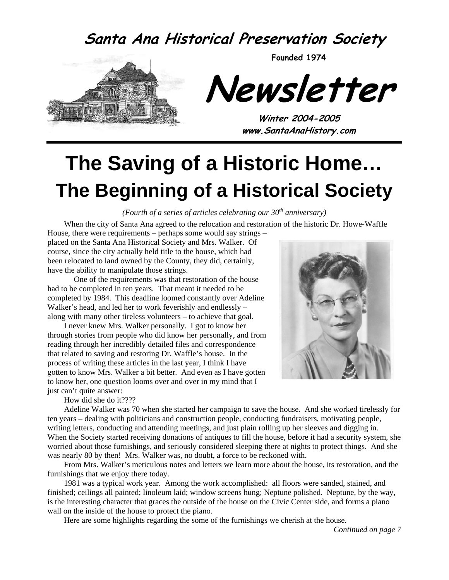### **Santa Ana Historical Preservation Society**



**Founded 1974** 

**Newsletter** 

**Winter 2004-2005 www.SantaAnaHistory.com** 

# **The Saving of a Historic Home… The Beginning of a Historical Society**

*(Fourth of a series of articles celebrating our 30th anniversary)* 

When the city of Santa Ana agreed to the relocation and restoration of the historic Dr. Howe-Waffle House, there were requirements – perhaps some would say strings –

placed on the Santa Ana Historical Society and Mrs. Walker. Of course, since the city actually held title to the house, which had been relocated to land owned by the County, they did, certainly, have the ability to manipulate those strings.

One of the requirements was that restoration of the house had to be completed in ten years. That meant it needed to be completed by 1984. This deadline loomed constantly over Adeline Walker's head, and led her to work feverishly and endlessly – along with many other tireless volunteers – to achieve that goal.

I never knew Mrs. Walker personally. I got to know her through stories from people who did know her personally, and from reading through her incredibly detailed files and correspondence that related to saving and restoring Dr. Waffle's house. In the process of writing these articles in the last year, I think I have gotten to know Mrs. Walker a bit better. And even as I have gotten to know her, one question looms over and over in my mind that I just can't quite answer:



How did she do it????

Adeline Walker was 70 when she started her campaign to save the house. And she worked tirelessly for ten years – dealing with politicians and construction people, conducting fundraisers, motivating people, writing letters, conducting and attending meetings, and just plain rolling up her sleeves and digging in. When the Society started receiving donations of antiques to fill the house, before it had a security system, she worried about those furnishings, and seriously considered sleeping there at nights to protect things. And she was nearly 80 by then! Mrs. Walker was, no doubt, a force to be reckoned with.

From Mrs. Walker's meticulous notes and letters we learn more about the house, its restoration, and the furnishings that we enjoy there today.

1981 was a typical work year. Among the work accomplished: all floors were sanded, stained, and finished; ceilings all painted; linoleum laid; window screens hung; Neptune polished. Neptune, by the way, is the interesting character that graces the outside of the house on the Civic Center side, and forms a piano wall on the inside of the house to protect the piano.

Here are some highlights regarding the some of the furnishings we cherish at the house.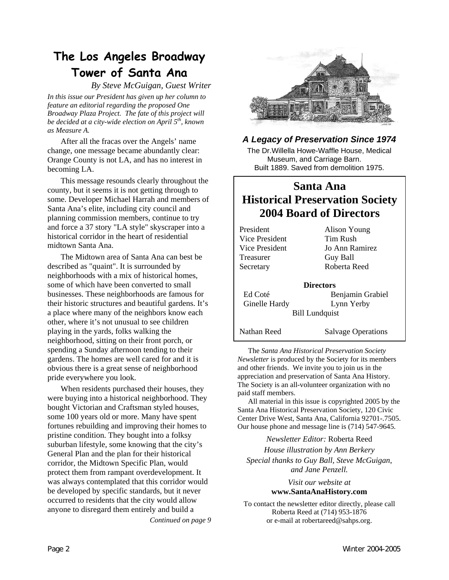### **The Los Angeles Broadway Tower of Santa Ana**

*By Steve McGuigan, Guest Writer* 

*In this issue our President has given up her column to feature an editorial regarding the proposed One Broadway Plaza Project. The fate of this project will be decided at a city-wide election on April 5th, known as Measure A.* 

After all the fracas over the Angels' name change, one message became abundantly clear: Orange County is not LA, and has no interest in becoming LA.

This message resounds clearly throughout the county, but it seems it is not getting through to some. Developer Michael Harrah and members of Santa Ana's elite, including city council and planning commission members, continue to try and force a 37 story "LA style" skyscraper into a historical corridor in the heart of residential midtown Santa Ana.

The Midtown area of Santa Ana can best be described as "quaint". It is surrounded by neighborhoods with a mix of historical homes, some of which have been converted to small businesses. These neighborhoods are famous for their historic structures and beautiful gardens. It's a place where many of the neighbors know each other, where it's not unusual to see children playing in the yards, folks walking the neighborhood, sitting on their front porch, or spending a Sunday afternoon tending to their gardens. The homes are well cared for and it is obvious there is a great sense of neighborhood pride everywhere you look.

When residents purchased their houses, they were buying into a historical neighborhood. They bought Victorian and Craftsman styled houses, some 100 years old or more. Many have spent fortunes rebuilding and improving their homes to pristine condition. They bought into a folksy suburban lifestyle, some knowing that the city's General Plan and the plan for their historical corridor, the Midtown Specific Plan, would protect them from rampant overdevelopment. It was always contemplated that this corridor would be developed by specific standards, but it never occurred to residents that the city would allow anyone to disregard them entirely and build a

*Continued on page 9* 



#### *A Legacy of Preservation Since 1974*

The Dr.Willella Howe-Waffle House, Medical Museum, and Carriage Barn. Built 1889. Saved from demolition 1975.

#### **Santa Ana Historical Preservation Society 2004 Board of Directors**

| President      | Alison Young              |
|----------------|---------------------------|
| Vice President | Tim Rush                  |
| Vice President | Jo Ann Ramirez            |
| Treasurer      | Guy Ball                  |
| Secretary      | Roberta Reed              |
|                | <b>Directors</b>          |
| Ed Coté        | Benjamin Grabiel          |
| Ginelle Hardy  | Lynn Yerby                |
|                | <b>Bill Lundquist</b>     |
| Nathan Reed    | <b>Salvage Operations</b> |

The *Santa Ana Historical Preservation Society Newsletter* is produced by the Society for its members and other friends. We invite you to join us in the appreciation and preservation of Santa Ana History. The Society is an all-volunteer organization with no paid staff members.

All material in this issue is copyrighted 2005 by the Santa Ana Historical Preservation Society, 120 Civic Center Drive West, Santa Ana, California 92701-.7505. Our house phone and message line is (714) 547-9645.

*Newsletter Editor:* Roberta Reed

*House illustration by Ann Berkery Special thanks to Guy Ball, Steve McGuigan, and Jane Penzell.* 

#### *Visit our website at*  **www.SantaAnaHistory.com**

To contact the newsletter editor directly, please call Roberta Reed at (714) 953-1876 or e-mail at robertareed@sahps.org.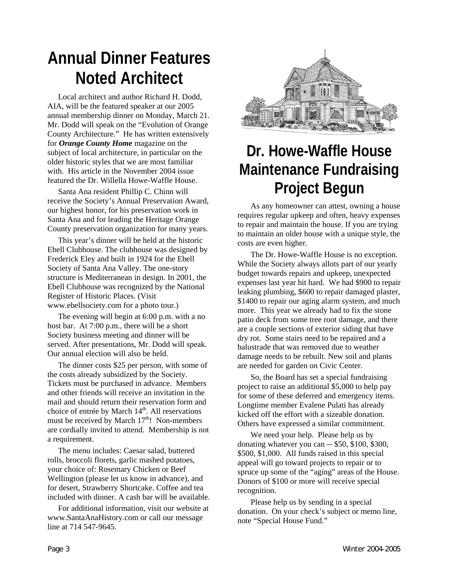## **Annual Dinner Features Noted Architect**

Local architect and author Richard H. Dodd, AIA, will be the featured speaker at our 2005 annual membership dinner on Monday, March 21. Mr. Dodd will speak on the "Evolution of Orange County Architecture." He has written extensively for *Orange County Home* magazine on the subject of local architecture, in particular on the older historic styles that we are most familiar with. His article in the November 2004 issue featured the Dr. Willella Howe-Waffle House.

Santa Ana resident Phillip C. Chinn will receive the Society's Annual Preservation Award, our highest honor, for his preservation work in Santa Ana and for leading the Heritage Orange County preservation organization for many years.

This year's dinner will be held at the historic Ebell Clubhouse. The clubhouse was designed by Frederick Eley and built in 1924 for the Ebell Society of Santa Ana Valley. The one-story structure is Mediterranean in design. In 2001, the Ebell Clubhouse was recognized by the National Register of Historic Places. (Visit www.ebellsociety.com for a photo tour.)

The evening will begin at 6:00 p.m. with a no host bar. At 7:00 p.m., there will be a short Society business meeting and dinner will be served. After presentations, Mr. Dodd will speak. Our annual election will also be held.

The dinner costs \$25 per person, with some of the costs already subsidized by the Society. Tickets must be purchased in advance. Members and other friends will receive an invitation in the mail and should return their reservation form and choice of entrée by March 14<sup>th</sup>. All reservations must be received by March  $17<sup>th</sup>$ ! Non-members are cordially invited to attend. Membership is not a requirement.

The menu includes: Caesar salad, buttered rolls, broccoli florets, garlic mashed potatoes, your choice of: Rosemary Chicken or Beef Wellington (please let us know in advance), and for desert, Strawberry Shortcake. Coffee and tea included with dinner. A cash bar will be available.

For additional information, visit our website at www.SantaAnaHistory.com or call our message line at 714 547-9645.



## **Dr. Howe-Waffle House Maintenance Fundraising Project Begun**

As any homeowner can attest, owning a house requires regular upkeep and often, heavy expenses to repair and maintain the house. If you are trying to maintain an older house with a unique style, the costs are even higher.

The Dr. Howe-Waffle House is no exception. While the Society always allots part of our yearly budget towards repairs and upkeep, unexpected expenses last year hit hard. We had \$900 to repair leaking plumbing, \$600 to repair damaged plaster, \$1400 to repair our aging alarm system, and much more. This year we already had to fix the stone patio deck from some tree root damage, and there are a couple sections of exterior siding that have dry rot. Some stairs need to be repaired and a balustrade that was removed due to weather damage needs to be rebuilt. New soil and plants are needed for garden on Civic Center.

So, the Board has set a special fundraising project to raise an additional \$5,000 to help pay for some of these deferred and emergency items. Longtime member Evalene Pulati has already kicked off the effort with a sizeable donation. Others have expressed a similar commitment.

We need your help. Please help us by donating whatever you can -- \$50, \$100, \$300, \$500, \$1,000. All funds raised in this special appeal will go toward projects to repair or to spruce up some of the "aging" areas of the House. Donors of \$100 or more will receive special recognition.

Please help us by sending in a special donation. On your check's subject or memo line, note "Special House Fund."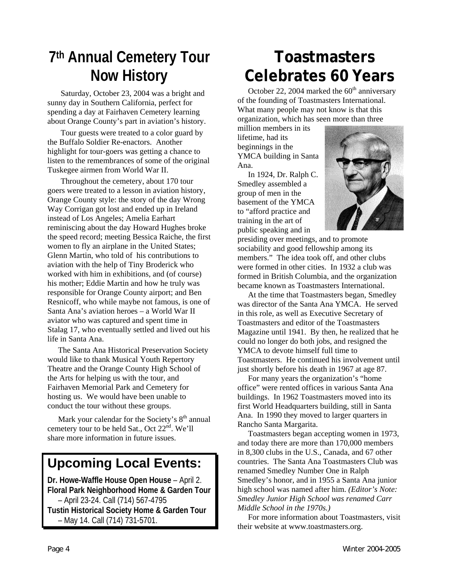## **7th Annual Cemetery Tour Now History**

Saturday, October 23, 2004 was a bright and sunny day in Southern California, perfect for spending a day at Fairhaven Cemetery learning about Orange County's part in aviation's history.

Tour guests were treated to a color guard by the Buffalo Soldier Re-enactors. Another highlight for tour-goers was getting a chance to listen to the remembrances of some of the original Tuskegee airmen from World War II.

Throughout the cemetery, about 170 tour goers were treated to a lesson in aviation history, Orange County style: the story of the day Wrong Way Corrigan got lost and ended up in Ireland instead of Los Angeles; Amelia Earhart reminiscing about the day Howard Hughes broke the speed record; meeting Bessica Raiche, the first women to fly an airplane in the United States; Glenn Martin, who told of his contributions to aviation with the help of Tiny Broderick who worked with him in exhibitions, and (of course) his mother; Eddie Martin and how he truly was responsible for Orange County airport; and Ben Resnicoff, who while maybe not famous, is one of Santa Ana's aviation heroes – a World War II aviator who was captured and spent time in Stalag 17, who eventually settled and lived out his life in Santa Ana.

The Santa Ana Historical Preservation Society would like to thank Musical Youth Repertory Theatre and the Orange County High School of the Arts for helping us with the tour, and Fairhaven Memorial Park and Cemetery for hosting us. We would have been unable to conduct the tour without these groups.

Mark your calendar for the Society's  $8<sup>th</sup>$  annual cemetery tour to be held Sat., Oct 22<sup>nd</sup>. We'll share more information in future issues.

### **Upcoming Local Events:**

**Dr. Howe-Waffle House Open House** – April 2. **Floral Park Neighborhood Home & Garden Tour** – April 23-24. Call (714) 567-4795 **Tustin Historical Society Home & Garden Tour** – May 14. Call (714) 731-5701.

## **Toastmasters Celebrates 60 Years**

October 22, 2004 marked the  $60<sup>th</sup>$  anniversary of the founding of Toastmasters International. What many people may not know is that this organization, which has seen more than three

million members in its lifetime, had its beginnings in the YMCA building in Santa Ana.

In 1924, Dr. Ralph C. Smedley assembled a group of men in the basement of the YMCA to "afford practice and training in the art of public speaking and in



presiding over meetings, and to promote sociability and good fellowship among its members." The idea took off, and other clubs were formed in other cities. In 1932 a club was formed in British Columbia, and the organization became known as Toastmasters International.

At the time that Toastmasters began, Smedley was director of the Santa Ana YMCA. He served in this role, as well as Executive Secretary of Toastmasters and editor of the Toastmasters Magazine until 1941. By then, he realized that he could no longer do both jobs, and resigned the YMCA to devote himself full time to Toastmasters. He continued his involvement until just shortly before his death in 1967 at age 87.

For many years the organization's "home office" were rented offices in various Santa Ana buildings. In 1962 Toastmasters moved into its first World Headquarters building, still in Santa Ana. In 1990 they moved to larger quarters in Rancho Santa Margarita.

Toastmasters began accepting women in 1973, and today there are more than 170,000 members in 8,300 clubs in the U.S., Canada, and 67 other countries. The Santa Ana Toastmasters Club was renamed Smedley Number One in Ralph Smedley's honor, and in 1955 a Santa Ana junior high school was named after him. *(Editor's Note: Smedley Junior High School was renamed Carr Middle School in the 1970s.)*

For more information about Toastmasters, visit their website at www.toastmasters.org.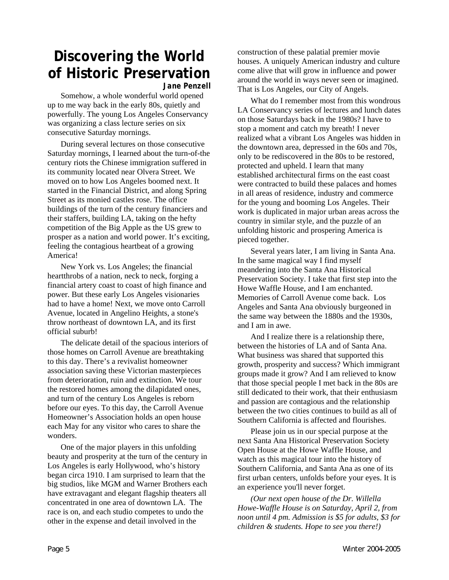### **Discovering the World of Historic Preservation**

*Jane Penzell* 

Somehow, a whole wonderful world opened up to me way back in the early 80s, quietly and powerfully. The young Los Angeles Conservancy was organizing a class lecture series on six consecutive Saturday mornings.

During several lectures on those consecutive Saturday mornings, I learned about the turn-of-the century riots the Chinese immigration suffered in its community located near Olvera Street. We moved on to how Los Angeles boomed next. It started in the Financial District, and along Spring Street as its monied castles rose. The office buildings of the turn of the century financiers and their staffers, building LA, taking on the hefty competition of the Big Apple as the US grew to prosper as a nation and world power. It's exciting, feeling the contagious heartbeat of a growing America!

New York vs. Los Angeles; the financial heartthrobs of a nation, neck to neck, forging a financial artery coast to coast of high finance and power. But these early Los Angeles visionaries had to have a home! Next, we move onto Carroll Avenue, located in Angelino Heights, a stone's throw northeast of downtown LA, and its first official suburb!

The delicate detail of the spacious interiors of those homes on Carroll Avenue are breathtaking to this day. There's a revivalist homeowner association saving these Victorian masterpieces from deterioration, ruin and extinction. We tour the restored homes among the dilapidated ones, and turn of the century Los Angeles is reborn before our eyes. To this day, the Carroll Avenue Homeowner's Association holds an open house each May for any visitor who cares to share the wonders.

One of the major players in this unfolding beauty and prosperity at the turn of the century in Los Angeles is early Hollywood, who's history began circa 1910. I am surprised to learn that the big studios, like MGM and Warner Brothers each have extravagant and elegant flagship theaters all concentrated in one area of downtown LA. The race is on, and each studio competes to undo the other in the expense and detail involved in the

construction of these palatial premier movie houses. A uniquely American industry and culture come alive that will grow in influence and power around the world in ways never seen or imagined. That is Los Angeles, our City of Angels.

What do I remember most from this wondrous LA Conservancy series of lectures and lunch dates on those Saturdays back in the 1980s? I have to stop a moment and catch my breath! I never realized what a vibrant Los Angeles was hidden in the downtown area, depressed in the 60s and 70s, only to be rediscovered in the 80s to be restored, protected and upheld. I learn that many established architectural firms on the east coast were contracted to build these palaces and homes in all areas of residence, industry and commerce for the young and booming Los Angeles. Their work is duplicated in major urban areas across the country in similar style, and the puzzle of an unfolding historic and prospering America is pieced together.

Several years later, I am living in Santa Ana. In the same magical way I find myself meandering into the Santa Ana Historical Preservation Society. I take that first step into the Howe Waffle House, and I am enchanted. Memories of Carroll Avenue come back. Los Angeles and Santa Ana obviously burgeoned in the same way between the 1880s and the 1930s, and I am in awe.

And I realize there is a relationship there, between the histories of LA and of Santa Ana. What business was shared that supported this growth, prosperity and success? Which immigrant groups made it grow? And I am relieved to know that those special people I met back in the 80s are still dedicated to their work, that their enthusiasm and passion are contagious and the relationship between the two cities continues to build as all of Southern California is affected and flourishes.

Please join us in our special purpose at the next Santa Ana Historical Preservation Society Open House at the Howe Waffle House, and watch as this magical tour into the history of Southern California, and Santa Ana as one of its first urban centers, unfolds before your eyes. It is an experience you'll never forget.

*(Our next open house of the Dr. Willella Howe-Waffle House is on Saturday, April 2, from noon until 4 pm. Admission is \$5 for adults, \$3 for children & students. Hope to see you there!)*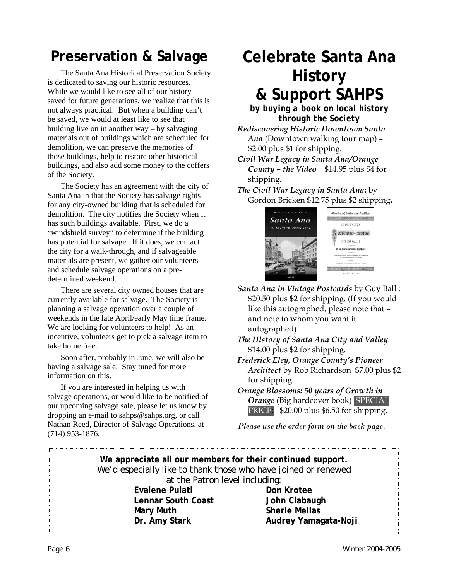### **Preservation & Salvage**

The Santa Ana Historical Preservation Society is dedicated to saving our historic resources. While we would like to see all of our history saved for future generations, we realize that this is not always practical. But when a building can't be saved, we would at least like to see that building live on in another way – by salvaging materials out of buildings which are scheduled for demolition, we can preserve the memories of those buildings, help to restore other historical buildings, and also add some money to the coffers of the Society.

The Society has an agreement with the city of Santa Ana in that the Society has salvage rights for any city-owned building that is scheduled for demolition. The city notifies the Society when it has such buildings available. First, we do a "windshield survey" to determine if the building has potential for salvage. If it does, we contact the city for a walk-through, and if salvageable materials are present, we gather our volunteers and schedule salvage operations on a predetermined weekend.

There are several city owned houses that are currently available for salvage. The Society is planning a salvage operation over a couple of weekends in the late April/early May time frame. We are looking for volunteers to help! As an incentive, volunteers get to pick a salvage item to take home free.

Soon after, probably in June, we will also be having a salvage sale. Stay tuned for more information on this.

If you are interested in helping us with salvage operations, or would like to be notified of our upcoming salvage sale, please let us know by dropping an e-mail to sahps@sahps.org, or call Nathan Reed, Director of Salvage Operations, at (714) 953-1876.

### **Celebrate Santa Ana History & Support SAHPS**

*by buying a book on local history through the Society* 

*Rediscovering Historic Downtown Santa Ana* (Downtown walking tour map) – \$2.00 plus \$1 for shipping.

*Civil War Legacy in Santa Ana/Orange County – the Video* \$14.95 plus \$4 for shipping.

*The Civil War Legacy in Santa Ana***:** by Gordon Bricken \$12.75 plus \$2 shipping**.** 



-Southsrn-California-Paoificthe short with a state of the state of the **HISTORY** SANTA ANA CITY AND VALLEY. .<br>In Pol. Floorishing Present of Relays Fature **RESTING AND PATTNPUL DES** 

*Santa Ana in Vintage Postcards* by Guy Ball : \$20.50 plus \$2 for shipping. (If you would like this autographed, please note that – and note to whom you want it autographed)

*The History of Santa Ana City and Valley*. \$14.00 plus \$2 for shipping.

*Frederick Eley, Orange County's Pioneer Architect* by Rob Richardson \$7.00 plus \$2 for shipping.

*Orange Blossoms: 50 years of Growth in Orange (Big hardcover book) SPECIAL* PRICE: \$20.00 plus \$6.50 for shipping.

*Please use the order form on the back page.*

**We appreciate all our members for their continued support.** We'd especially like to thank those who have joined or renewed at the Patron level including: **Evalene Pulati** Don Krotee  **Lennar South Coast John Clabaugh Mary Muth Sherle Mellas Dr. Amy Stark Audrey Yamagata-Noji**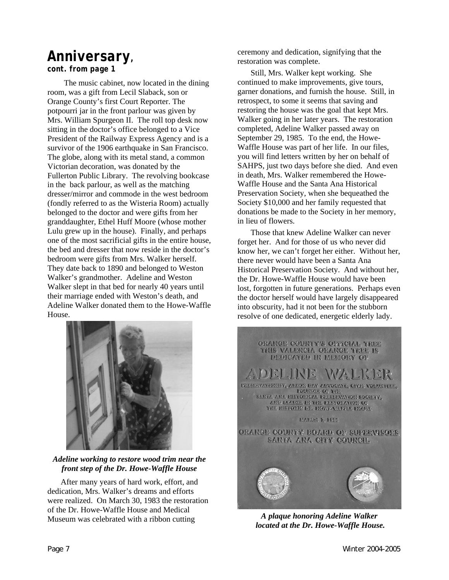### *Anniversary,*

*cont. from page 1*

The music cabinet, now located in the dining room, was a gift from Lecil Slaback, son or Orange County's first Court Reporter. The potpourri jar in the front parlour was given by Mrs. William Spurgeon II. The roll top desk now sitting in the doctor's office belonged to a Vice President of the Railway Express Agency and is a survivor of the 1906 earthquake in San Francisco. The globe, along with its metal stand, a common Victorian decoration, was donated by the Fullerton Public Library. The revolving bookcase in the back parlour, as well as the matching dresser/mirror and commode in the west bedroom (fondly referred to as the Wisteria Room) actually belonged to the doctor and were gifts from her granddaughter, Ethel Huff Moore (whose mother Lulu grew up in the house). Finally, and perhaps one of the most sacrificial gifts in the entire house, the bed and dresser that now reside in the doctor's bedroom were gifts from Mrs. Walker herself. They date back to 1890 and belonged to Weston Walker's grandmother. Adeline and Weston Walker slept in that bed for nearly 40 years until their marriage ended with Weston's death, and Adeline Walker donated them to the Howe-Waffle House.



*Adeline working to restore wood trim near the front step of the Dr. Howe-Waffle House* 

After many years of hard work, effort, and dedication, Mrs. Walker's dreams and efforts were realized. On March 30, 1983 the restoration of the Dr. Howe-Waffle House and Medical Museum was celebrated with a ribbon cutting

ceremony and dedication, signifying that the restoration was complete.

Still, Mrs. Walker kept working. She continued to make improvements, give tours, garner donations, and furnish the house. Still, in retrospect, to some it seems that saving and restoring the house was the goal that kept Mrs. Walker going in her later years. The restoration completed, Adeline Walker passed away on September 29, 1985. To the end, the Howe-Waffle House was part of her life. In our files, you will find letters written by her on behalf of SAHPS, just two days before she died. And even in death, Mrs. Walker remembered the Howe-Waffle House and the Santa Ana Historical Preservation Society, when she bequeathed the Society \$10,000 and her family requested that donations be made to the Society in her memory, in lieu of flowers.

Those that knew Adeline Walker can never forget her. And for those of us who never did know her, we can't forget her either. Without her, there never would have been a Santa Ana Historical Preservation Society. And without her, the Dr. Howe-Waffle House would have been lost, forgotten in future generations. Perhaps even the doctor herself would have largely disappeared into obscurity, had it not been for the stubborn resolve of one dedicated, energetic elderly lady.



*A plaque honoring Adeline Walker located at the Dr. Howe-Waffle House.*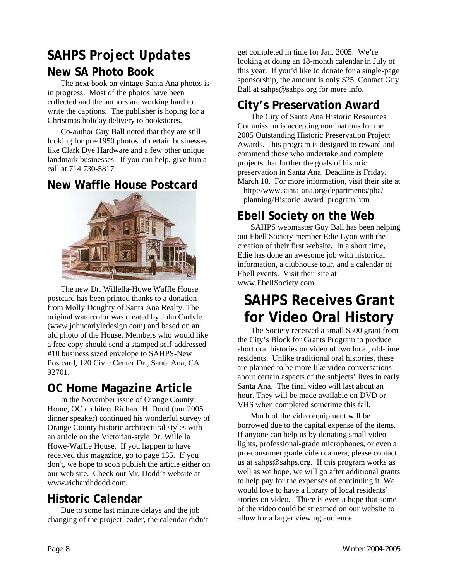### *SAHPS Project Updates*  **New SA Photo Book**

The next book on vintage Santa Ana photos is in progress. Most of the photos have been collected and the authors are working hard to write the captions. The publisher is hoping for a Christmas holiday delivery to bookstores.

Co-author Guy Ball noted that they are still looking for pre-1950 photos of certain businesses like Clark Dye Hardware and a few other unique landmark businesses. If you can help, give him a call at 714 730-5817.

#### **New Waffle House Postcard**



The new Dr. Willella-Howe Waffle House postcard has been printed thanks to a donation from Molly Doughty of Santa Ana Realty. The original watercolor was created by John Carlyle (www.johncarlyledesign.com) and based on an old photo of the House. Members who would like a free copy should send a stamped self-addressed #10 business sized envelope to SAHPS-New Postcard, 120 Civic Center Dr., Santa Ana, CA 92701.

#### **OC Home Magazine Article**

In the November issue of Orange County Home, OC architect Richard H. Dodd (our 2005 dinner speaker) continued his wonderful survey of Orange County historic architectural styles with an article on the Victorian-style Dr. Willella Howe-Waffle House. If you happen to have received this magazine, go to page 135. If you don't, we hope to soon publish the article either on our web site. Check out Mr. Dodd's website at www.richardhdodd.com.

### **Historic Calendar**

Due to some last minute delays and the job changing of the project leader, the calendar didn't get completed in time for Jan. 2005. We're looking at doing an 18-month calendar in July of this year. If you'd like to donate for a single-page sponsorship, the amount is only \$25. Contact Guy Ball at sahps@sahps.org for more info.

#### **City's Preservation Award**

The City of Santa Ana Historic Resources Commission is accepting nominations for the 2005 Outstanding Historic Preservation Project Awards. This program is designed to reward and commend those who undertake and complete projects that further the goals of historic preservation in Santa Ana. Deadline is Friday, March 18. For more information, visit their site at http://www.santa-ana.org/departments/pba/ planning/Historic\_award\_program.htm

### **Ebell Society on the Web**

SAHPS webmaster Guy Ball has been helping out Ebell Society member Edie Lyon with the creation of their first website. In a short time, Edie has done an awesome job with historical information, a clubhouse tour, and a calendar of Ebell events. Visit their site at www.EbellSociety.com

### **SAHPS Receives Grant for Video Oral History**

The Society received a small \$500 grant from the City's Block for Grants Program to produce short oral histories on video of two local, old-time residents. Unlike traditional oral histories, these are planned to be more like video conversations about certain aspects of the subjects' lives in early Santa Ana. The final video will last about an hour. They will be made available on DVD or VHS when completed sometime this fall.

Much of the video equipment will be borrowed due to the capital expense of the items. If anyone can help us by donating small video lights, professional-grade microphones, or even a pro-consumer grade video camera, please contact us at sahps@sahps.org. If this program works as well as we hope, we will go after additional grants to help pay for the expenses of continuing it. We would love to have a library of local residents' stories on video. There is even a hope that some of the video could be streamed on our website to allow for a larger viewing audience.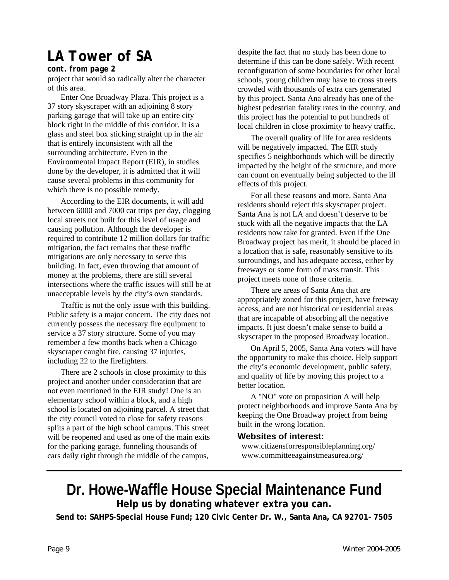### *LA Tower of SA*

#### *cont. from page 2*

project that would so radically alter the character of this area.

Enter One Broadway Plaza. This project is a 37 story skyscraper with an adjoining 8 story parking garage that will take up an entire city block right in the middle of this corridor. It is a glass and steel box sticking straight up in the air that is entirely inconsistent with all the surrounding architecture. Even in the Environmental Impact Report (EIR), in studies done by the developer, it is admitted that it will cause several problems in this community for which there is no possible remedy.

According to the EIR documents, it will add between 6000 and 7000 car trips per day, clogging local streets not built for this level of usage and causing pollution. Although the developer is required to contribute 12 million dollars for traffic mitigation, the fact remains that these traffic mitigations are only necessary to serve this building. In fact, even throwing that amount of money at the problems, there are still several intersections where the traffic issues will still be at unacceptable levels by the city's own standards.

Traffic is not the only issue with this building. Public safety is a major concern. The city does not currently possess the necessary fire equipment to service a 37 story structure. Some of you may remember a few months back when a Chicago skyscraper caught fire, causing 37 injuries, including 22 to the firefighters.

There are 2 schools in close proximity to this project and another under consideration that are not even mentioned in the EIR study! One is an elementary school within a block, and a high school is located on adjoining parcel. A street that the city council voted to close for safety reasons splits a part of the high school campus. This street will be reopened and used as one of the main exits for the parking garage, funneling thousands of cars daily right through the middle of the campus,

despite the fact that no study has been done to determine if this can be done safely. With recent reconfiguration of some boundaries for other local schools, young children may have to cross streets crowded with thousands of extra cars generated by this project. Santa Ana already has one of the highest pedestrian fatality rates in the country, and this project has the potential to put hundreds of local children in close proximity to heavy traffic.

The overall quality of life for area residents will be negatively impacted. The EIR study specifies 5 neighborhoods which will be directly impacted by the height of the structure, and more can count on eventually being subjected to the ill effects of this project.

For all these reasons and more, Santa Ana residents should reject this skyscraper project. Santa Ana is not LA and doesn't deserve to be stuck with all the negative impacts that the LA residents now take for granted. Even if the One Broadway project has merit, it should be placed in a location that is safe, reasonably sensitive to its surroundings, and has adequate access, either by freeways or some form of mass transit. This project meets none of those criteria.

There are areas of Santa Ana that are appropriately zoned for this project, have freeway access, and are not historical or residential areas that are incapable of absorbing all the negative impacts. It just doesn't make sense to build a skyscraper in the proposed Broadway location.

On April 5, 2005, Santa Ana voters will have the opportunity to make this choice. Help support the city's economic development, public safety, and quality of life by moving this project to a better location.

A "NO" vote on proposition A will help protect neighborhoods and improve Santa Ana by keeping the One Broadway project from being built in the wrong location.

#### **Websites of interest:**

 www.citizensforresponsibleplanning.org/ www.committeeagainstmeasurea.org/

#### **Dr. Howe-Waffle House Special Maintenance Fund Help us by donating whatever extra you can.**

**Send to: SAHPS-Special House Fund; 120 Civic Center Dr. W., Santa Ana, CA 92701- 7505**